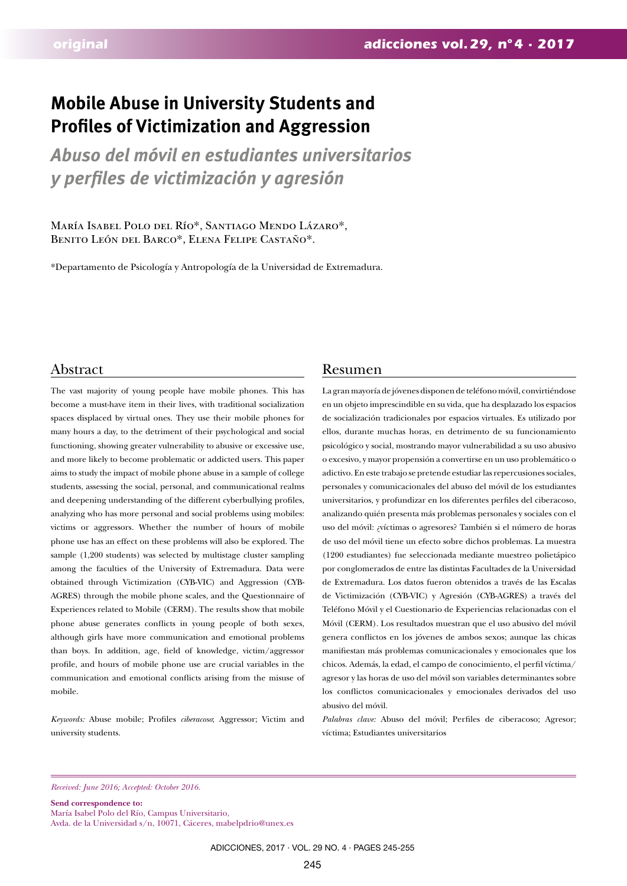# **Mobile Abuse in University Students and Profiles of Victimization and Aggression**

*Abuso del móvil en estudiantes universitarios y perfiles de victimización y agresión*

María Isabel Polo del Río\*, Santiago Mendo Lázaro\*, Benito León del Barco\*, Elena Felipe Castaño\*.

\*Departamento de Psicología y Antropología de la Universidad de Extremadura.

The vast majority of young people have mobile phones. This has become a must-have item in their lives, with traditional socialization spaces displaced by virtual ones. They use their mobile phones for many hours a day, to the detriment of their psychological and social functioning, showing greater vulnerability to abusive or excessive use, and more likely to become problematic or addicted users. This paper aims to study the impact of mobile phone abuse in a sample of college students, assessing the social, personal, and communicational realms and deepening understanding of the different cyberbullying profiles, analyzing who has more personal and social problems using mobiles: victims or aggressors. Whether the number of hours of mobile phone use has an effect on these problems will also be explored. The sample (1,200 students) was selected by multistage cluster sampling among the faculties of the University of Extremadura. Data were obtained through Victimization (CYB-VIC) and Aggression (CYB-AGRES) through the mobile phone scales, and the Questionnaire of Experiences related to Mobile (CERM). The results show that mobile phone abuse generates conflicts in young people of both sexes, although girls have more communication and emotional problems than boys. In addition, age, field of knowledge, victim/aggressor profile, and hours of mobile phone use are crucial variables in the communication and emotional conflicts arising from the misuse of mobile.

*Keywords:* Abuse mobile; Profiles *ciberacoso*; Aggressor; Victim and university students.

# Abstract Resumen

La gran mayoría de jóvenes disponen de teléfono móvil, convirtiéndose en un objeto imprescindible en su vida, que ha desplazado los espacios de socialización tradicionales por espacios virtuales. Es utilizado por ellos, durante muchas horas, en detrimento de su funcionamiento psicológico y social, mostrando mayor vulnerabilidad a su uso abusivo o excesivo, y mayor propensión a convertirse en un uso problemático o adictivo. En este trabajo se pretende estudiar las repercusiones sociales, personales y comunicacionales del abuso del móvil de los estudiantes universitarios, y profundizar en los diferentes perfiles del ciberacoso, analizando quién presenta más problemas personales y sociales con el uso del móvil: ¿víctimas o agresores? También si el número de horas de uso del móvil tiene un efecto sobre dichos problemas. La muestra (1200 estudiantes) fue seleccionada mediante muestreo polietápico por conglomerados de entre las distintas Facultades de la Universidad de Extremadura. Los datos fueron obtenidos a través de las Escalas de Victimización (CYB-VIC) y Agresión (CYB-AGRES) a través del Teléfono Móvil y el Cuestionario de Experiencias relacionadas con el Móvil (CERM). Los resultados muestran que el uso abusivo del móvil genera conflictos en los jóvenes de ambos sexos; aunque las chicas manifiestan más problemas comunicacionales y emocionales que los chicos. Además, la edad, el campo de conocimiento, el perfil víctima/ agresor y las horas de uso del móvil son variables determinantes sobre los conflictos comunicacionales y emocionales derivados del uso abusivo del móvil.

*Palabras clave:* Abuso del móvil; Perfiles de ciberacoso; Agresor; víctima; Estudiantes universitarios

*Received: June 2016; Accepted: October 2016.*

**Send correspondence to:**  María Isabel Polo del Río, Campus Universitario, Avda. de la Universidad s/n, 10071, Cáceres, mabelpdrio@unex.es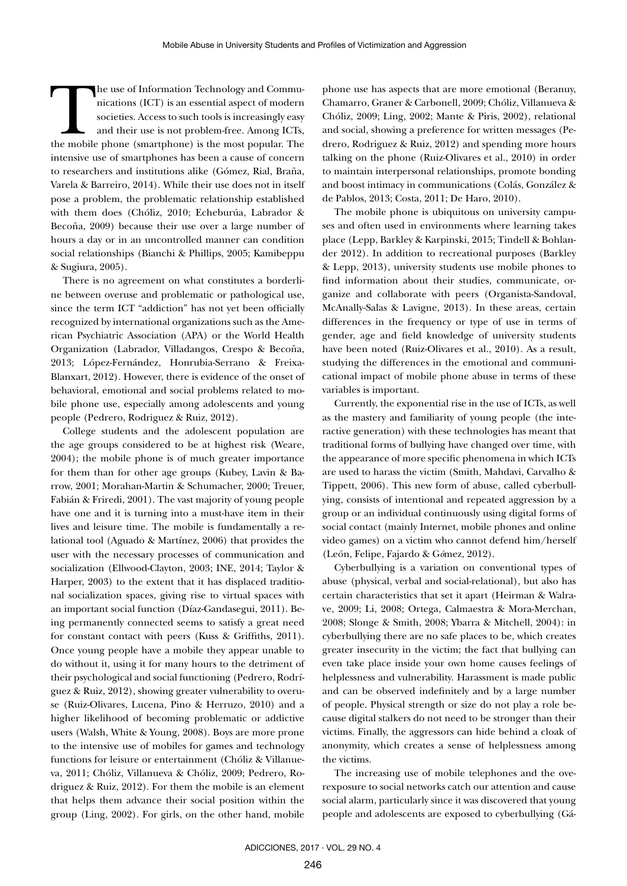The use of Information Technology and Communications (ICT) is an essential aspect of modern societies. Access to such tools is increasingly easy and their use is not problem-free. Among ICTs, the mobile phone (smartphone) nications (ICT) is an essential aspect of modern societies. Access to such tools is increasingly easy and their use is not problem-free. Among ICTs, intensive use of smartphones has been a cause of concern to researchers and institutions alike (Gómez, Rial, Braña, Varela & Barreiro, 2014). While their use does not in itself pose a problem, the problematic relationship established with them does (Chóliz, 2010; Echeburúa, Labrador & Becoña, 2009) because their use over a large number of hours a day or in an uncontrolled manner can condition social relationships (Bianchi & Phillips, 2005; Kamibeppu & Sugiura, 2005).

There is no agreement on what constitutes a borderline between overuse and problematic or pathological use, since the term ICT "addiction" has not yet been officially recognized by international organizations such as the American Psychiatric Association (APA) or the World Health Organization (Labrador, Villadangos, Crespo & Becoña, 2013; López-Fernández, Honrubia-Serrano & Freixa-Blanxart, 2012). However, there is evidence of the onset of behavioral, emotional and social problems related to mobile phone use, especially among adolescents and young people (Pedrero, Rodriguez & Ruiz, 2012).

College students and the adolescent population are the age groups considered to be at highest risk (Weare, 2004); the mobile phone is of much greater importance for them than for other age groups (Kubey, Lavin & Barrow, 2001; Morahan-Martin & Schumacher, 2000; Treuer, Fabián & Friredi, 2001). The vast majority of young people have one and it is turning into a must-have item in their lives and leisure time. The mobile is fundamentally a relational tool (Aguado & Martínez, 2006) that provides the user with the necessary processes of communication and socialization (Ellwood-Clayton, 2003; INE, 2014; Taylor & Harper, 2003) to the extent that it has displaced traditional socialization spaces, giving rise to virtual spaces with an important social function (Díaz-Gandasegui, 2011). Being permanently connected seems to satisfy a great need for constant contact with peers (Kuss & Griffiths, 2011). Once young people have a mobile they appear unable to do without it, using it for many hours to the detriment of their psychological and social functioning (Pedrero, Rodríguez & Ruiz, 2012), showing greater vulnerability to overuse (Ruiz-Olivares, Lucena, Pino & Herruzo, 2010) and a higher likelihood of becoming problematic or addictive users (Walsh, White & Young, 2008). Boys are more prone to the intensive use of mobiles for games and technology functions for leisure or entertainment (Chóliz & Villanueva, 2011; Chóliz, Villanueva & Chóliz, 2009; Pedrero, Rodriguez & Ruiz, 2012). For them the mobile is an element that helps them advance their social position within the group (Ling, 2002). For girls, on the other hand, mobile

phone use has aspects that are more emotional (Beranuy, Chamarro, Graner & Carbonell, 2009; Chóliz, Villanueva & Chóliz, 2009; Ling, 2002; Mante & Piris, 2002), relational and social, showing a preference for written messages (Pedrero, Rodriguez & Ruiz, 2012) and spending more hours talking on the phone (Ruiz-Olivares et al., 2010) in order to maintain interpersonal relationships, promote bonding and boost intimacy in communications (Colás, González & de Pablos, 2013; Costa, 2011; De Haro, 2010).

The mobile phone is ubiquitous on university campuses and often used in environments where learning takes place (Lepp, Barkley & Karpinski, 2015; Tindell & Bohlander 2012). In addition to recreational purposes (Barkley & Lepp, 2013), university students use mobile phones to find information about their studies, communicate, organize and collaborate with peers (Organista-Sandoval, McAnally-Salas & Lavigne, 2013). In these areas, certain differences in the frequency or type of use in terms of gender, age and field knowledge of university students have been noted (Ruiz-Olivares et al., 2010). As a result, studying the differences in the emotional and communicational impact of mobile phone abuse in terms of these variables is important.

Currently, the exponential rise in the use of ICTs, as well as the mastery and familiarity of young people (the interactive generation) with these technologies has meant that traditional forms of bullying have changed over time, with the appearance of more specific phenomena in which ICTs are used to harass the victim (Smith, Mahdavi, Carvalho & Tippett, 2006). This new form of abuse, called cyberbullying, consists of intentional and repeated aggression by a group or an individual continuously using digital forms of social contact (mainly Internet, mobile phones and online video games) on a victim who cannot defend him/herself (León, Felipe, Fajardo & G*ó*mez, 2012).

Cyberbullying is a variation on conventional types of abuse (physical, verbal and social-relational), but also has certain characteristics that set it apart (Heirman & Walrave, 2009; Li, 2008; Ortega, Calmaestra & Mora-Merchan, 2008; Slonge & Smith, 2008; Ybarra & Mitchell, 2004): in cyberbullying there are no safe places to be, which creates greater insecurity in the victim; the fact that bullying can even take place inside your own home causes feelings of helplessness and vulnerability. Harassment is made public and can be observed indefinitely and by a large number of people. Physical strength or size do not play a role because digital stalkers do not need to be stronger than their victims. Finally, the aggressors can hide behind a cloak of anonymity, which creates a sense of helplessness among the victims.

The increasing use of mobile telephones and the overexposure to social networks catch our attention and cause social alarm, particularly since it was discovered that young people and adolescents are exposed to cyberbullying (Gá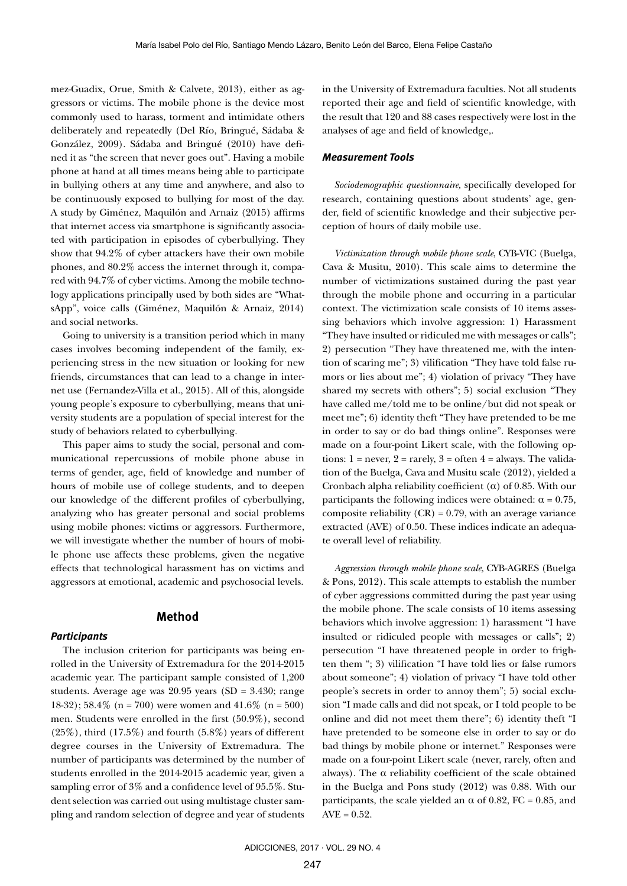mez-Guadix, Orue, Smith & Calvete, 2013), either as aggressors or victims. The mobile phone is the device most commonly used to harass, torment and intimidate others deliberately and repeatedly (Del Río, Bringué, Sádaba & González, 2009). Sádaba and Bringué (2010) have defined it as "the screen that never goes out". Having a mobile phone at hand at all times means being able to participate in bullying others at any time and anywhere, and also to be continuously exposed to bullying for most of the day. A study by Giménez, Maquilón and Arnaiz (2015) affirms that internet access via smartphone is significantly associated with participation in episodes of cyberbullying. They show that 94.2% of cyber attackers have their own mobile phones, and 80.2% access the internet through it, compared with 94.7% of cyber victims. Among the mobile technology applications principally used by both sides are "WhatsApp", voice calls (Giménez, Maquilón & Arnaiz, 2014) and social networks.

Going to university is a transition period which in many cases involves becoming independent of the family, experiencing stress in the new situation or looking for new friends, circumstances that can lead to a change in internet use (Fernandez-Villa et al., 2015). All of this, alongside young people's exposure to cyberbullying, means that university students are a population of special interest for the study of behaviors related to cyberbullying.

This paper aims to study the social, personal and communicational repercussions of mobile phone abuse in terms of gender, age, field of knowledge and number of hours of mobile use of college students, and to deepen our knowledge of the different profiles of cyberbullying, analyzing who has greater personal and social problems using mobile phones: victims or aggressors. Furthermore, we will investigate whether the number of hours of mobile phone use affects these problems, given the negative effects that technological harassment has on victims and aggressors at emotional, academic and psychosocial levels.

# **Method**

#### *Participants*

The inclusion criterion for participants was being enrolled in the University of Extremadura for the 2014-2015 academic year. The participant sample consisted of 1,200 students. Average age was 20.95 years (SD = 3.430; range 18-32); 58.4% (n = 700) were women and 41.6% (n = 500) men. Students were enrolled in the first (50.9%), second  $(25\%)$ , third  $(17.5\%)$  and fourth  $(5.8\%)$  years of different degree courses in the University of Extremadura. The number of participants was determined by the number of students enrolled in the 2014-2015 academic year, given a sampling error of 3% and a confidence level of 95.5%. Student selection was carried out using multistage cluster sampling and random selection of degree and year of students

in the University of Extremadura faculties. Not all students reported their age and field of scientific knowledge, with the result that 120 and 88 cases respectively were lost in the analyses of age and field of knowledge,.

## *Measurement Tools*

*Sociodemographic questionnaire,* specifically developed for research, containing questions about students' age, gender, field of scientific knowledge and their subjective perception of hours of daily mobile use.

*Victimization through mobile phone scale*, CYB-VIC (Buelga, Cava & Musitu, 2010). This scale aims to determine the number of victimizations sustained during the past year through the mobile phone and occurring in a particular context. The victimization scale consists of 10 items assessing behaviors which involve aggression: 1) Harassment "They have insulted or ridiculed me with messages or calls"; 2) persecution "They have threatened me, with the intention of scaring me"; 3) vilification "They have told false rumors or lies about me"; 4) violation of privacy "They have shared my secrets with others"; 5) social exclusion "They have called me/told me to be online/but did not speak or meet me"; 6) identity theft "They have pretended to be me in order to say or do bad things online". Responses were made on a four-point Likert scale, with the following options:  $1 = never$ ,  $2 = rarely$ ,  $3 = often$   $4 = always$ . The validation of the Buelga, Cava and Musitu scale (2012), yielded a Cronbach alpha reliability coefficient  $(\alpha)$  of 0.85. With our participants the following indices were obtained: α = 0.75, composite reliability  $(CR) = 0.79$ , with an average variance extracted (AVE) of 0.50. These indices indicate an adequate overall level of reliability.

*Aggression through mobile phone scale,* CYB-AGRES (Buelga & Pons, 2012). This scale attempts to establish the number of cyber aggressions committed during the past year using the mobile phone. The scale consists of 10 items assessing behaviors which involve aggression: 1) harassment "I have insulted or ridiculed people with messages or calls"; 2) persecution "I have threatened people in order to frighten them "; 3) vilification "I have told lies or false rumors about someone"; 4) violation of privacy "I have told other people's secrets in order to annoy them"; 5) social exclusion "I made calls and did not speak, or I told people to be online and did not meet them there"; 6) identity theft "I have pretended to be someone else in order to say or do bad things by mobile phone or internet." Responses were made on a four-point Likert scale (never, rarely, often and always). The  $\alpha$  reliability coefficient of the scale obtained in the Buelga and Pons study (2012) was 0.88. With our participants, the scale yielded an  $\alpha$  of 0.82, FC = 0.85, and  $AVE = 0.52$ .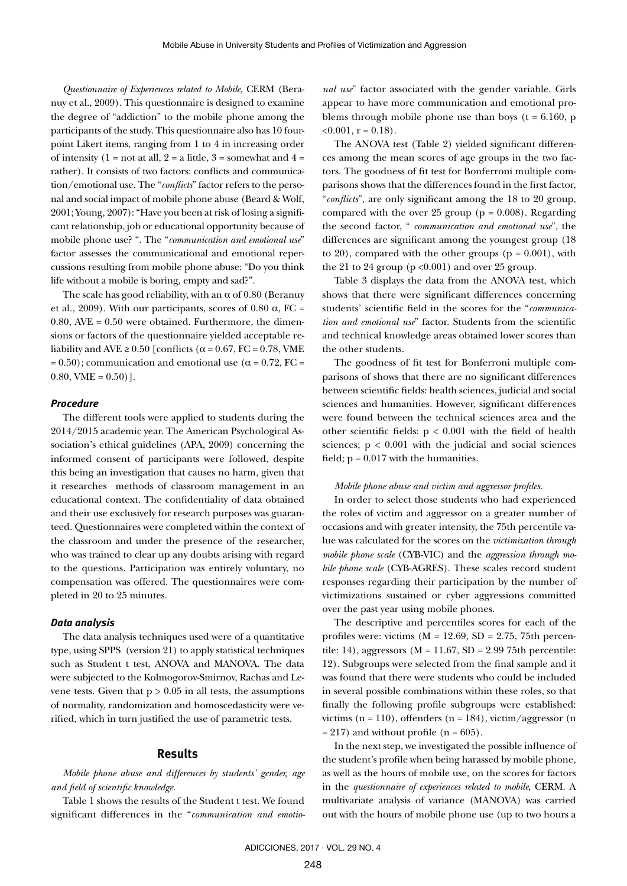*Questionnaire of Experiences related to Mobile,* CERM (Beranuy et al., 2009). This questionnaire is designed to examine the degree of "addiction" to the mobile phone among the participants of the study. This questionnaire also has 10 fourpoint Likert items, ranging from 1 to 4 in increasing order of intensity  $(1 = not at all, 2 = a little, 3 = somewhat and 4 = ...$ rather). It consists of two factors: conflicts and communication/emotional use. The "*conflicts*" factor refers to the personal and social impact of mobile phone abuse (Beard & Wolf, 2001; Young, 2007): "Have you been at risk of losing a significant relationship, job or educational opportunity because of mobile phone use? ". The "*communication and emotional use*" factor assesses the communicational and emotional repercussions resulting from mobile phone abuse: "Do you think life without a mobile is boring, empty and sad?".

The scale has good reliability, with an  $\alpha$  of 0.80 (Beranuy et al., 2009). With our participants, scores of 0.80  $\alpha$ , FC =  $0.80$ , AVE =  $0.50$  were obtained. Furthermore, the dimensions or factors of the questionnaire yielded acceptable reliability and AVE  $\geq 0.50$  [conflicts ( $\alpha = 0.67$ , FC = 0.78, VME  $= 0.50$ ); communication and emotional use ( $\alpha = 0.72$ , FC =  $0.80$ , VME =  $0.50$ )].

#### *Procedure*

The different tools were applied to students during the 2014/2015 academic year. The American Psychological Association's ethical guidelines (APA, 2009) concerning the informed consent of participants were followed, despite this being an investigation that causes no harm, given that it researches methods of classroom management in an educational context. The confidentiality of data obtained and their use exclusively for research purposes was guaranteed. Questionnaires were completed within the context of the classroom and under the presence of the researcher, who was trained to clear up any doubts arising with regard to the questions. Participation was entirely voluntary, no compensation was offered. The questionnaires were completed in 20 to 25 minutes.

#### *Data analysis*

The data analysis techniques used were of a quantitative type, using SPPS (version 21) to apply statistical techniques such as Student t test, ANOVA and MANOVA. The data were subjected to the Kolmogorov-Smirnov, Rachas and Levene tests. Given that  $p > 0.05$  in all tests, the assumptions of normality, randomization and homoscedasticity were verified, which in turn justified the use of parametric tests.

### **Results**

*Mobile phone abuse and differences by students' gender, age and field of scientific knowledge.*

Table 1 shows the results of the Student t test. We found significant differences in the "*communication and emotio-*

*nal use*" factor associated with the gender variable. Girls appear to have more communication and emotional problems through mobile phone use than boys  $(t = 6.160, p$  $< 0.001$ , r = 0.18).

The ANOVA test (Table 2) yielded significant differences among the mean scores of age groups in the two factors. The goodness of fit test for Bonferroni multiple comparisons shows that the differences found in the first factor, "*conflicts*", are only significant among the 18 to 20 group, compared with the over 25 group ( $p = 0.008$ ). Regarding the second factor, " *communication and emotional use*", the differences are significant among the youngest group (18 to 20), compared with the other groups  $(p = 0.001)$ , with the 21 to 24 group ( $p < 0.001$ ) and over 25 group.

Table 3 displays the data from the ANOVA test, which shows that there were significant differences concerning students' scientific field in the scores for the "*communication and emotional use*" factor. Students from the scientific and technical knowledge areas obtained lower scores than the other students.

The goodness of fit test for Bonferroni multiple comparisons of shows that there are no significant differences between scientific fields: health sciences, judicial and social sciences and humanities. However, significant differences were found between the technical sciences area and the other scientific fields: p < 0.001 with the field of health sciences;  $p < 0.001$  with the judicial and social sciences field;  $p = 0.017$  with the humanities.

#### *Mobile phone abuse and victim and aggressor profiles.*

In order to select those students who had experienced the roles of victim and aggressor on a greater number of occasions and with greater intensity, the 75th percentile value was calculated for the scores on the *victimization through mobile phone scale* (CYB-VIC) and the *aggression through mobile phone scale* (CYB-AGRES). These scales record student responses regarding their participation by the number of victimizations sustained or cyber aggressions committed over the past year using mobile phones.

The descriptive and percentiles scores for each of the profiles were: victims  $(M = 12.69, SD = 2.75, 75th$  percentile: 14), aggressors ( $M = 11.67$ ,  $SD = 2.99$  75th percentile: 12). Subgroups were selected from the final sample and it was found that there were students who could be included in several possible combinations within these roles, so that finally the following profile subgroups were established: victims ( $n = 110$ ), offenders ( $n = 184$ ), victim/aggressor ( $n$  $= 217$ ) and without profile (n = 605).

In the next step, we investigated the possible influence of the student's profile when being harassed by mobile phone, as well as the hours of mobile use, on the scores for factors in the *questionnaire of experiences related to mobile*, CERM. A multivariate analysis of variance (MANOVA) was carried out with the hours of mobile phone use (up to two hours a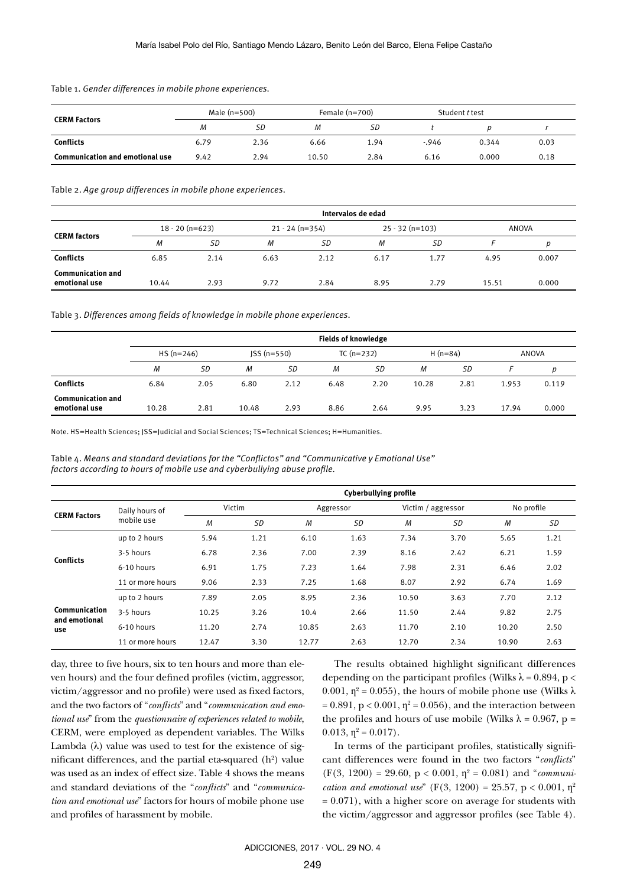|                                        | Male (n=500) |      | Female $(n=700)$ |      | Student t test |       |      |
|----------------------------------------|--------------|------|------------------|------|----------------|-------|------|
| <b>CERM Factors</b>                    | М            | SD   | M                | SD   |                |       |      |
| <b>Conflicts</b>                       | 6.79         | 2.36 | 6.66             | 1.94 | $-0.946$       | 0.344 | 0.03 |
| <b>Communication and emotional use</b> | 9.42         | 2.94 | 10.50            | 2.84 | 6.16           | 0.000 | 0.18 |

Table 1. *Gender differences in mobile phone experiences.* 

Table 2. *Age group differences in mobile phone experiences.* 

|                                           | Intervalos de edad |      |                  |      |                   |      |              |       |
|-------------------------------------------|--------------------|------|------------------|------|-------------------|------|--------------|-------|
|                                           | $18 - 20(n=623)$   |      | $21 - 24(n=354)$ |      | $25 - 32$ (n=103) |      | <b>ANOVA</b> |       |
| <b>CERM factors</b>                       | M                  | SD   | М                | SD   | М                 | SD   |              |       |
| <b>Conflicts</b>                          | 6.85               | 2.14 | 6.63             | 2.12 | 6.17              | 1.77 | 4.95         | 0.007 |
| <b>Communication and</b><br>emotional use | 10.44              | 2.93 | 9.72             | 2.84 | 8.95              | 2.79 | 15.51        | 0.000 |

Table 3. *Differences among fields of knowledge in mobile phone experiences.* 

|                                           | <b>Fields of knowledge</b> |      |              |      |             |      |           |      |       |       |
|-------------------------------------------|----------------------------|------|--------------|------|-------------|------|-----------|------|-------|-------|
|                                           | $HS (n=246)$               |      | $JSS(n=550)$ |      | $TC(n=232)$ |      | $H(n=84)$ |      | ANOVA |       |
|                                           | M                          | SD   | M            | SD   | M           | SD   | M         | SD   |       | р     |
| <b>Conflicts</b>                          | 6.84                       | 2.05 | 6.80         | 2.12 | 6.48        | 2.20 | 10.28     | 2.81 | 1.953 | 0.119 |
| <b>Communication and</b><br>emotional use | 10.28                      | 2.81 | 10.48        | 2.93 | 8.86        | 2.64 | 9.95      | 3.23 | 17.94 | 0.000 |

Note. HS=Health Sciences; JSS=Judicial and Social Sciences; TS=Technical Sciences; H=Humanities.

Table 4. *Means and standard deviations for the "Conflictos" and "Communicative y Emotional Use" factors according to hours of mobile use and cyberbullying abuse profile.*

|                                       |                              | <b>Cyberbullying profile</b> |           |           |      |                    |      |            |      |
|---------------------------------------|------------------------------|------------------------------|-----------|-----------|------|--------------------|------|------------|------|
| <b>CERM Factors</b>                   | Daily hours of<br>mobile use | Victim                       |           | Aggressor |      | Victim / aggressor |      | No profile |      |
|                                       |                              | M                            | <b>SD</b> | M         | SD   | M                  | SD   | M          | SD   |
| <b>Conflicts</b>                      | up to 2 hours                | 5.94                         | 1.21      | 6.10      | 1.63 | 7.34               | 3.70 | 5.65       | 1.21 |
|                                       | 3-5 hours                    | 6.78                         | 2.36      | 7.00      | 2.39 | 8.16               | 2.42 | 6.21       | 1.59 |
|                                       | 6-10 hours                   | 6.91                         | 1.75      | 7.23      | 1.64 | 7.98               | 2.31 | 6.46       | 2.02 |
|                                       | 11 or more hours             | 9.06                         | 2.33      | 7.25      | 1.68 | 8.07               | 2.92 | 6.74       | 1.69 |
| Communication<br>and emotional<br>use | up to 2 hours                | 7.89                         | 2.05      | 8.95      | 2.36 | 10.50              | 3.63 | 7.70       | 2.12 |
|                                       | 3-5 hours                    | 10.25                        | 3.26      | 10.4      | 2.66 | 11.50              | 2.44 | 9.82       | 2.75 |
|                                       | 6-10 hours                   | 11.20                        | 2.74      | 10.85     | 2.63 | 11.70              | 2.10 | 10.20      | 2.50 |
|                                       | 11 or more hours             | 12.47                        | 3.30      | 12.77     | 2.63 | 12.70              | 2.34 | 10.90      | 2.63 |

day, three to five hours, six to ten hours and more than eleven hours) and the four defined profiles (victim, aggressor, victim/aggressor and no profile) were used as fixed factors, and the two factors of "*conflicts*" and "*communication and emotional use*" from the *questionnaire of experiences related to mobile*, CERM, were employed as dependent variables. The Wilks Lambda  $(\lambda)$  value was used to test for the existence of significant differences, and the partial eta-squared  $(h^2)$  value was used as an index of effect size. Table 4 shows the means and standard deviations of the "*conflicts*" and "*communication and emotional use*" factors for hours of mobile phone use and profiles of harassment by mobile.

The results obtained highlight significant differences depending on the participant profiles (Wilks  $\lambda = 0.894$ , p < 0.001,  $\eta^2$  = 0.055), the hours of mobile phone use (Wilks  $\lambda$  $= 0.891$ , p < 0.001,  $\eta^2 = 0.056$ ), and the interaction between the profiles and hours of use mobile (Wilks  $\lambda = 0.967$ , p = 0.013,  $\eta^2 = 0.017$ .

In terms of the participant profiles, statistically significant differences were found in the two factors "*conflicts*"  $(F(3, 1200) = 29.60, p < 0.001, \eta^2 = 0.081)$  and "*communication and emotional use*" ( $F(3, 1200) = 25.57$ ,  $p < 0.001$ ,  $p^2$  $= 0.071$ ), with a higher score on average for students with the victim/aggressor and aggressor profiles (see Table 4).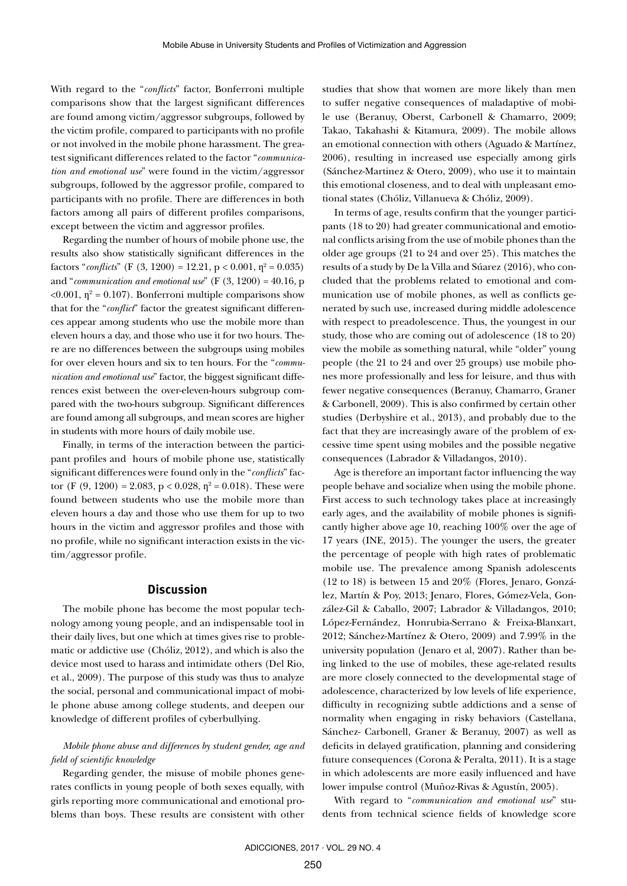With regard to the "*conflicts*" factor, Bonferroni multiple comparisons show that the largest significant differences are found among victim/aggressor subgroups, followed by the victim profile, compared to participants with no profile or not involved in the mobile phone harassment. The greatest significant differences related to the factor "*communication and emotional use*" were found in the victim/aggressor subgroups, followed by the aggressor profile, compared to participants with no profile. There are differences in both factors among all pairs of different profiles comparisons, except between the victim and aggressor profiles.

Regarding the number of hours of mobile phone use, the results also show statistically significant differences in the factors "*conflicts*" (F  $(3, 1200) = 12.21$ , p < 0.001,  $\eta^2 = 0.035$ ) and "*communication and emotional use*" (F (3, 1200) = 40.16, p  $<$ 0.001,  $\eta$ <sup>2</sup> = 0.107). Bonferroni multiple comparisons show that for the "*conflict*" factor the greatest significant differences appear among students who use the mobile more than eleven hours a day, and those who use it for two hours. There are no differences between the subgroups using mobiles for over eleven hours and six to ten hours. For the "*communication and emotional use*" factor, the biggest significant differences exist between the over-eleven-hours subgroup compared with the two-hours subgroup. Significant differences are found among all subgroups, and mean scores are higher in students with more hours of daily mobile use.

Finally, in terms of the interaction between the participant profiles and hours of mobile phone use, statistically significant differences were found only in the "*conflicts*" factor (F  $(9, 1200) = 2.083$ , p < 0.028,  $\eta^2 = 0.018$ ). These were found between students who use the mobile more than eleven hours a day and those who use them for up to two hours in the victim and aggressor profiles and those with no profile, while no significant interaction exists in the victim/aggressor profile.

# **Discussion**

The mobile phone has become the most popular technology among young people, and an indispensable tool in their daily lives, but one which at times gives rise to problematic or addictive use (Chóliz, 2012), and which is also the device most used to harass and intimidate others (Del Rio, et al., 2009). The purpose of this study was thus to analyze the social, personal and communicational impact of mobile phone abuse among college students, and deepen our knowledge of different profiles of cyberbullying.

# *Mobile phone abuse and differences by student gender, age and field of scientific knowledge*

Regarding gender, the misuse of mobile phones generates conflicts in young people of both sexes equally, with girls reporting more communicational and emotional problems than boys. These results are consistent with other studies that show that women are more likely than men to suffer negative consequences of maladaptive of mobile use (Beranuy, Oberst, Carbonell & Chamarro, 2009; Takao, Takahashi & Kitamura, 2009). The mobile allows an emotional connection with others (Aguado & Martínez, 2006), resulting in increased use especially among girls (Sánchez-Martinez & Otero, 2009), who use it to maintain this emotional closeness, and to deal with unpleasant emotional states (Chóliz, Villanueva & Chóliz, 2009).

In terms of age, results confirm that the younger participants (18 to 20) had greater communicational and emotional conflicts arising from the use of mobile phones than the older age groups (21 to 24 and over 25). This matches the results of a study by De la Villa and Súarez (2016), who concluded that the problems related to emotional and communication use of mobile phones, as well as conflicts generated by such use, increased during middle adolescence with respect to preadolescence. Thus, the youngest in our study, those who are coming out of adolescence (18 to 20) view the mobile as something natural, while "older" young people (the 21 to 24 and over 25 groups) use mobile phones more professionally and less for leisure, and thus with fewer negative consequences (Beranuy, Chamarro, Graner & Carbonell, 2009). This is also confirmed by certain other studies (Derbyshire et al., 2013), and probably due to the fact that they are increasingly aware of the problem of excessive time spent using mobiles and the possible negative consequences (Labrador & Villadangos, 2010).

Age is therefore an important factor influencing the way people behave and socialize when using the mobile phone. First access to such technology takes place at increasingly early ages, and the availability of mobile phones is significantly higher above age 10, reaching 100% over the age of 17 years (INE, 2015). The younger the users, the greater the percentage of people with high rates of problematic mobile use. The prevalence among Spanish adolescents (12 to 18) is between 15 and 20% (Flores, Jenaro, González, Martín & Poy, 2013; Jenaro, Flores, Gómez-Vela, González-Gil & Caballo, 2007; Labrador & Villadangos, 2010; López-Fernández, Honrubia-Serrano & Freixa-Blanxart, 2012; Sánchez-Martínez & Otero, 2009) and 7.99% in the university population (Jenaro et al, 2007). Rather than being linked to the use of mobiles, these age-related results are more closely connected to the developmental stage of adolescence, characterized by low levels of life experience, difficulty in recognizing subtle addictions and a sense of normality when engaging in risky behaviors (Castellana, Sánchez- Carbonell, Graner & Beranuy, 2007) as well as deficits in delayed gratification, planning and considering future consequences (Corona & Peralta, 2011). It is a stage in which adolescents are more easily influenced and have lower impulse control (Muñoz-Rivas & Agustín, 2005).

With regard to "*communication and emotional use*" students from technical science fields of knowledge score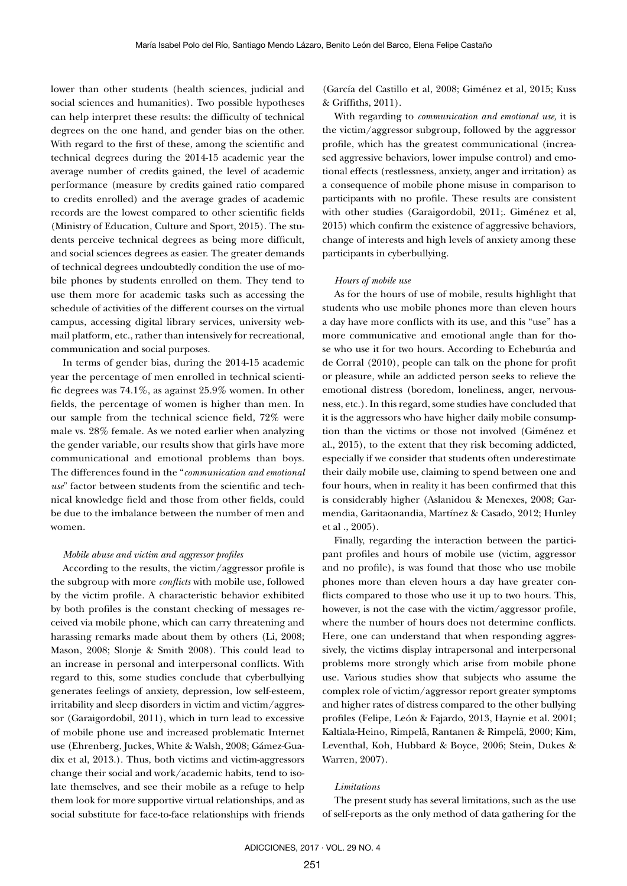lower than other students (health sciences, judicial and social sciences and humanities). Two possible hypotheses can help interpret these results: the difficulty of technical degrees on the one hand, and gender bias on the other. With regard to the first of these, among the scientific and technical degrees during the 2014-15 academic year the average number of credits gained, the level of academic performance (measure by credits gained ratio compared to credits enrolled) and the average grades of academic records are the lowest compared to other scientific fields (Ministry of Education, Culture and Sport, 2015). The students perceive technical degrees as being more difficult, and social sciences degrees as easier. The greater demands of technical degrees undoubtedly condition the use of mobile phones by students enrolled on them. They tend to use them more for academic tasks such as accessing the schedule of activities of the different courses on the virtual campus, accessing digital library services, university webmail platform, etc., rather than intensively for recreational, communication and social purposes.

In terms of gender bias, during the 2014-15 academic year the percentage of men enrolled in technical scientific degrees was 74.1%, as against 25.9% women. In other fields, the percentage of women is higher than men. In our sample from the technical science field, 72% were male vs. 28% female. As we noted earlier when analyzing the gender variable, our results show that girls have more communicational and emotional problems than boys. The differences found in the "*communication and emotional use*" factor between students from the scientific and technical knowledge field and those from other fields, could be due to the imbalance between the number of men and women.

### *Mobile abuse and victim and aggressor profiles*

According to the results, the victim/aggressor profile is the subgroup with more *conflicts* with mobile use, followed by the victim profile. A characteristic behavior exhibited by both profiles is the constant checking of messages received via mobile phone, which can carry threatening and harassing remarks made about them by others (Li, 2008; Mason, 2008; Slonje & Smith 2008). This could lead to an increase in personal and interpersonal conflicts. With regard to this, some studies conclude that cyberbullying generates feelings of anxiety, depression, low self-esteem, irritability and sleep disorders in victim and victim/aggressor (Garaigordobil, 2011), which in turn lead to excessive of mobile phone use and increased problematic Internet use (Ehrenberg, Juckes, White & Walsh, 2008; Gámez-Guadix et al, 2013.). Thus, both victims and victim-aggressors change their social and work/academic habits, tend to isolate themselves, and see their mobile as a refuge to help them look for more supportive virtual relationships, and as social substitute for face-to-face relationships with friends

(García del Castillo et al, 2008; Giménez et al, 2015; Kuss & Griffiths, 2011).

With regarding to *communication and emotional use,* it is the victim/aggressor subgroup, followed by the aggressor profile, which has the greatest communicational (increased aggressive behaviors, lower impulse control) and emotional effects (restlessness, anxiety, anger and irritation) as a consequence of mobile phone misuse in comparison to participants with no profile. These results are consistent with other studies (Garaigordobil, 2011;. Giménez et al, 2015) which confirm the existence of aggressive behaviors, change of interests and high levels of anxiety among these participants in cyberbullying.

#### *Hours of mobile use*

As for the hours of use of mobile, results highlight that students who use mobile phones more than eleven hours a day have more conflicts with its use, and this "use" has a more communicative and emotional angle than for those who use it for two hours. According to Echeburúa and de Corral (2010), people can talk on the phone for profit or pleasure, while an addicted person seeks to relieve the emotional distress (boredom, loneliness, anger, nervousness, etc.). In this regard, some studies have concluded that it is the aggressors who have higher daily mobile consumption than the victims or those not involved (Giménez et al., 2015), to the extent that they risk becoming addicted, especially if we consider that students often underestimate their daily mobile use, claiming to spend between one and four hours, when in reality it has been confirmed that this is considerably higher (Aslanidou & Menexes, 2008; Garmendia, Garitaonandia, Martínez & Casado, 2012; Hunley et al ., 2005).

Finally, regarding the interaction between the participant profiles and hours of mobile use (victim, aggressor and no profile), is was found that those who use mobile phones more than eleven hours a day have greater conflicts compared to those who use it up to two hours. This, however, is not the case with the victim/aggressor profile, where the number of hours does not determine conflicts. Here, one can understand that when responding aggressively, the victims display intrapersonal and interpersonal problems more strongly which arise from mobile phone use. Various studies show that subjects who assume the complex role of victim/aggressor report greater symptoms and higher rates of distress compared to the other bullying profiles (Felipe, León & Fajardo, 2013, Haynie et al. 2001; Kaltiala-Heino, Rimpelä, Rantanen & Rimpelä, 2000; Kim, Leventhal, Koh, Hubbard & Boyce, 2006; Stein, Dukes & Warren, 2007).

#### *Limitations*

The present study has several limitations, such as the use of self-reports as the only method of data gathering for the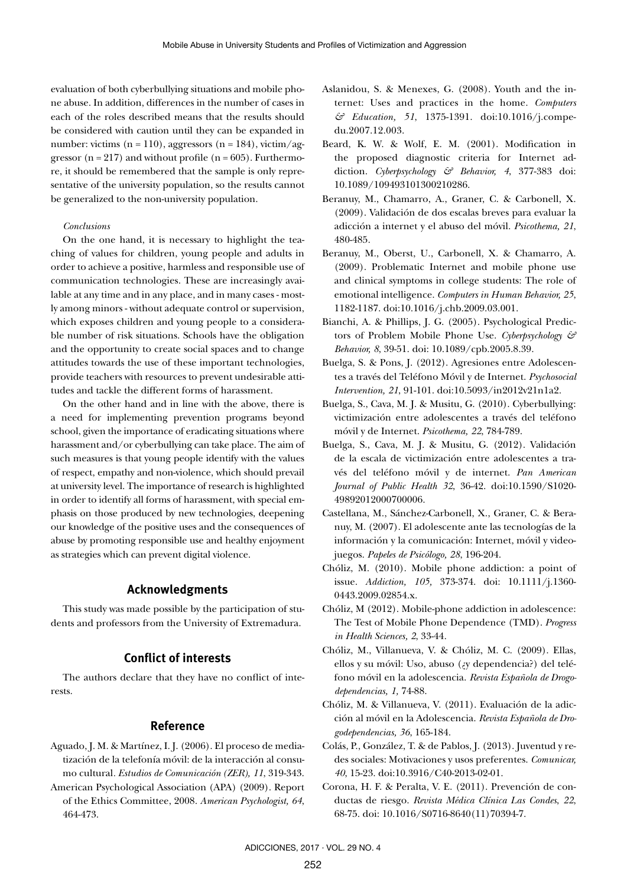evaluation of both cyberbullying situations and mobile phone abuse. In addition, differences in the number of cases in each of the roles described means that the results should be considered with caution until they can be expanded in number: victims ( $n = 110$ ), aggressors ( $n = 184$ ), victim/aggressor ( $n = 217$ ) and without profile ( $n = 605$ ). Furthermore, it should be remembered that the sample is only representative of the university population, so the results cannot be generalized to the non-university population.

#### *Conclusions*

On the one hand, it is necessary to highlight the teaching of values for children, young people and adults in order to achieve a positive, harmless and responsible use of communication technologies. These are increasingly available at any time and in any place, and in many cases - mostly among minors - without adequate control or supervision, which exposes children and young people to a considerable number of risk situations. Schools have the obligation and the opportunity to create social spaces and to change attitudes towards the use of these important technologies, provide teachers with resources to prevent undesirable attitudes and tackle the different forms of harassment.

On the other hand and in line with the above, there is a need for implementing prevention programs beyond school, given the importance of eradicating situations where harassment and/or cyberbullying can take place. The aim of such measures is that young people identify with the values of respect, empathy and non-violence, which should prevail at university level. The importance of research is highlighted in order to identify all forms of harassment, with special emphasis on those produced by new technologies, deepening our knowledge of the positive uses and the consequences of abuse by promoting responsible use and healthy enjoyment as strategies which can prevent digital violence.

# **Acknowledgments**

This study was made possible by the participation of students and professors from the University of Extremadura.

# **Conflict of interests**

The authors declare that they have no conflict of interests.

### **Reference**

- Aguado, J. M. & Martínez, I. J. (2006). El proceso de mediatización de la telefonía móvil: de la interacción al consumo cultural*. Estudios de Comunicación (ZER), 11*, 319-343.
- American Psychological Association (APA) (2009). Report of the Ethics Committee, 2008. *American Psychologist, 64*, 464-473.
- Aslanidou, S. & Menexes, G. (2008). Youth and the internet: Uses and practices in the home. *Computers & Education, 51*, 1375-1391. doi:10.1016/j.compedu.2007.12.003.
- Beard, K. W. & Wolf, E. M. (2001). Modification in the proposed diagnostic criteria for Internet addiction. *Cyberpsychology & Behavior, 4*, 377-383 doi: 10.1089/109493101300210286.
- Beranuy, M., Chamarro, A., Graner, C. & Carbonell, X. (2009). Validación de dos escalas breves para evaluar la adicción a internet y el abuso del móvil. *Psicothema, 21*, 480-485.
- Beranuy, M., Oberst, U., Carbonell, X. & Chamarro, A. (2009). Problematic Internet and mobile phone use and clinical symptoms in college students: The role of emotional intelligence. *Computers in Human Behavior, 25*, 1182-1187. doi:10.1016/j.chb.2009.03.001.
- Bianchi, A. & Phillips, J. G. (2005). Psychological Predictors of Problem Mobile Phone Use. *Cyberpsychology & Behavior, 8*, 39-51. doi: 10.1089/cpb.2005.8.39.
- Buelga, S. & Pons, J. (2012). Agresiones entre Adolescentes a través del Teléfono Móvil y de Internet. *Psychosocial Intervention, 21*, 91-101. doi:10.5093/in2012v21n1a2.
- Buelga, S., Cava, M. J. & Musitu, G. (2010). Cyberbullying: victimización entre adolescentes a través del teléfono móvil y de Internet. *Psicothema, 22*, 784-789.
- Buelga, S., Cava, M. J. & Musitu, G. (2012). Validación de la escala de victimización entre adolescentes a través del teléfono móvil y de internet. *Pan American Journal of Public Health 32*, 36-42. doi:10.1590/S1020- 49892012000700006.
- Castellana, M., Sánchez-Carbonell, X., Graner, C. & Beranuy, M. (2007). El adolescente ante las tecnologías de la información y la comunicación: Internet, móvil y videojuegos. *Papeles de Psicólogo, 28*, 196-204.
- Chóliz, M. (2010). Mobile phone addiction: a point of issue. *Addiction, 105,* 373-374. doi: 10.1111/j.1360- 0443.2009.02854.x.
- Chóliz, M (2012). Mobile-phone addiction in adolescence: The Test of Mobile Phone Dependence (TMD). *Progress in Health Sciences, 2*, 33-44.
- Chóliz, M., Villanueva, V. & Chóliz, M. C. (2009). Ellas, ellos y su móvil: Uso, abuso (¿y dependencia?) del teléfono móvil en la adolescencia. *Revista Española de Drogodependencias, 1,* 74-88.
- Chóliz, M. & Villanueva, V. (2011). Evaluación de la adicción al móvil en la Adolescencia. *Revista Española de Drogodependencias, 36*, 165-184.
- Colás, P., González, T. & de Pablos, J. (2013). Juventud y redes sociales: Motivaciones y usos preferentes. *Comunicar, 40*, 15-23. doi:10.3916/C40-2013-02-01.
- Corona, H. F. & Peralta, V. E. (2011). Prevención de conductas de riesgo. *Revista Médica Clínica Las Condes*, *22*, 68-75. doi: 10.1016/S0716-8640(11)70394-7.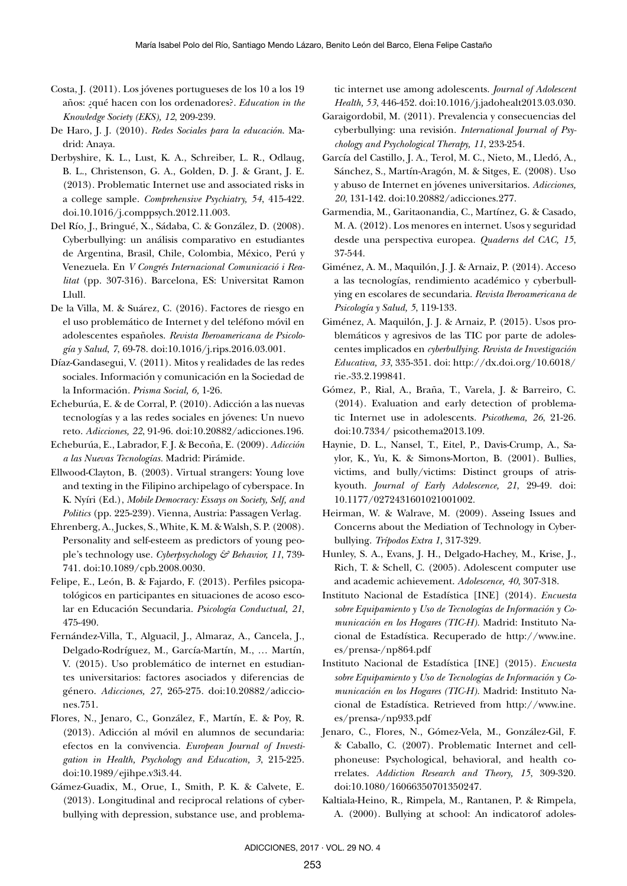- Costa, J. (2011). Los jóvenes portugueses de los 10 a los 19 años: ¿qué hacen con los ordenadores?. *Education in the Knowledge Society (EKS), 12*, 209-239.
- De Haro, J. J. (2010). *Redes Sociales para la educación*. Madrid: Anaya.
- Derbyshire, K. L., Lust, K. A., Schreiber, L. R., Odlaug, B. L., Christenson, G. A., Golden, D. J. & Grant, J. E. (2013). Problematic Internet use and associated risks in a college sample. *Comprehensive Psychiatry, 54*, 415-422. doi.10.1016/j.comppsych.2012.11.003.
- Del Río, J., Bringué, X., Sádaba, C. & González, D. (2008). Cyberbullying: un análisis comparativo en estudiantes de Argentina, Brasil, Chile, Colombia, México, Perú y Venezuela. En *V Congrés Internacional Comunicació i Realitat* (pp. 307-316). Barcelona, ES: Universitat Ramon Llull.
- De la Villa, M. & Suárez, C. (2016). Factores de riesgo en el uso problemático de Internet y del teléfono móvil en adolescentes españoles. *Revista Iberoamericana de Psicología y Salud*, *7*, 69-78. doi:10.1016/j.rips.2016.03.001.
- Díaz-Gandasegui, V. (2011). Mitos y realidades de las redes sociales. Información y comunicación en la Sociedad de la Información. *Prisma Social, 6,* 1-26.
- Echeburúa, E. & de Corral, P. (2010). Adicción a las nuevas tecnologías y a las redes sociales en jóvenes: Un nuevo reto. *Adicciones, 22*, 91-96. doi:10.20882/adicciones.196.
- Echeburúa, E., Labrador, F. J. & Becoña, E. (2009). *Adicción a las Nuevas Tecnologías.* Madrid: Pirámide.
- Ellwood-Clayton, B. (2003). Virtual strangers: Young love and texting in the Filipino archipelago of cyberspace. In K. Nyíri (Ed.), *Mobile Democracy: Essays on Society, Self, and Politics* (pp. 225-239). Vienna, Austria: Passagen Verlag.
- Ehrenberg, A., Juckes, S., White, K. M. & Walsh, S. P. (2008). Personality and self-esteem as predictors of young people's technology use. *Cyberpsychology & Behavior, 11*, 739- 741. doi:10.1089/cpb.2008.0030.
- Felipe, E., León, B. & Fajardo, F. (2013). Perfiles psicopatológicos en participantes en situaciones de acoso escolar en Educación Secundaria. *Psicología Conductual, 21*, 475-490.
- Fernández-Villa, T., Alguacil, J., Almaraz, A., Cancela, J., Delgado-Rodríguez, M., García-Martín, M., … Martín, V. (2015). Uso problemático de internet en estudiantes universitarios: factores asociados y diferencias de género. *Adicciones, 27*, 265-275. doi:10.20882/adicciones.751.
- Flores, N., Jenaro, C., González, F., Martín, E. & Poy, R. (2013). Adicción al móvil en alumnos de secundaria: efectos en la convivencia. *European Journal of Investigation in Health, Psychology and Education, 3*, 215-225. doi:10.1989/ejihpe.v3i3.44.
- Gámez-Guadix, M., Orue, I., Smith, P. K. & Calvete, E. (2013). Longitudinal and reciprocal relations of cyberbullying with depression, substance use, and problema-

tic internet use among adolescents. *Journal of Adolescent Health, 53*, 446-452. doi:10.1016/j.jadohealt2013.03.030.

- Garaigordobil, M. (2011). Prevalencia y consecuencias del cyberbullying: una revisión. *International Journal of Psychology and Psychological Therapy, 11*, 233-254.
- García del Castillo, J. A., Terol, M. C., Nieto, M., Lledó, A., Sánchez, S., Martín-Aragón, M. & Sitges, E. (2008). Uso y abuso de Internet en jóvenes universitarios. *Adicciones, 20*, 131-142. doi:10.20882/adicciones.277.
- Garmendia, M., Garitaonandia, C., Martínez, G. & Casado, M. A. (2012). Los menores en internet. Usos y seguridad desde una perspectiva europea. *Quaderns del CAC, 15*, 37-544.
- Giménez, A. M., Maquilón, J. J. & Arnaiz, P. (2014). Acceso a las tecnologías, rendimiento académico y cyberbullying en escolares de secundaria. *Revista Iberoamericana de Psicología y Salud, 5*, 119-133.
- Giménez, A. Maquilón, J. J. & Arnaiz, P. (2015). Usos problemáticos y agresivos de las TIC por parte de adolescentes implicados en *cyberbullying*. *Revista de Investigación Educativa, 33*, 335-351. doi: http://dx.doi.org/10.6018/ rie.-33.2.199841.
- Gómez, P., Rial, A., Braña, T., Varela, J. & Barreiro, C. (2014). Evaluation and early detection of problematic Internet use in adolescents. *Psicothema, 26*, 21-26. doi:10.7334/ psicothema2013.109.
- Haynie, D. L., Nansel, T., Eitel, P., Davis-Crump, A., Saylor, K., Yu, K. & Simons-Morton, B. (2001). Bullies, victims, and bully/victims: Distinct groups of atriskyouth. *Journal of Early Adolescence, 21*, 29-49. doi: 10.1177/0272431601021001002.
- Heirman, W. & Walrave, M. (2009). Asseing Issues and Concerns about the Mediation of Technology in Cyberbullying. *Trípodos Extra 1*, 317-329.
- Hunley, S. A., Evans, J. H., Delgado-Hachey, M., Krise, J., Rich, T. & Schell, C. (2005). Adolescent computer use and academic achievement. *Adolescence, 40*, 307-318.
- Instituto Nacional de Estadística [INE] (2014). *Encuesta sobre Equipamiento y Uso de Tecnologías de Información y Comunicación en los Hogares (TIC-H).* Madrid: Instituto Nacional de Estadística. Recuperado de http://www.ine. es/prensa-/np864.pdf
- Instituto Nacional de Estadística [INE] (2015). *Encuesta sobre Equipamiento y Uso de Tecnologías de Información y Comunicación en los Hogares (TIC-H).* Madrid: Instituto Nacional de Estadística. Retrieved from http://www.ine. es/prensa-/np933.pdf
- Jenaro, C., Flores, N., Gómez-Vela, M., González-Gil, F. & Caballo, C. (2007). Problematic Internet and cellphoneuse: Psychological, behavioral, and health correlates. *Addiction Research and Theory, 15*, 309-320. doi:10.1080/16066350701350247.
- Kaltiala-Heino, R., Rimpela, M., Rantanen, P. & Rimpela, A. (2000). Bullying at school: An indicatorof adoles-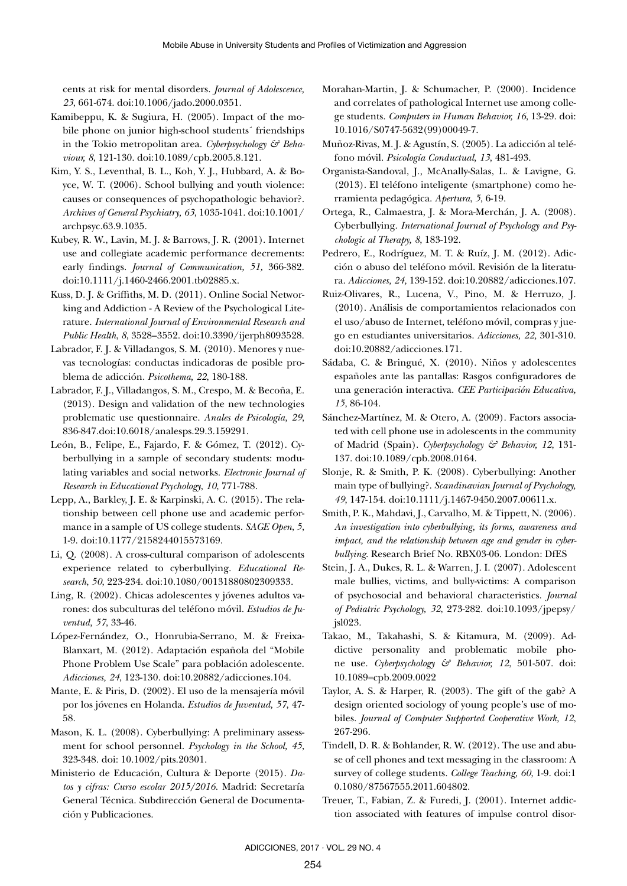cents at risk for mental disorders. *Journal of Adolescence, 23*, 661-674. doi:10.1006/jado.2000.0351.

- Kamibeppu, K. & Sugiura, H. (2005). Impact of the mobile phone on junior high-school students´ friendships in the Tokio metropolitan area. *Cyberpsychology & Behaviour, 8*, 121-130. doi:10.1089/cpb.2005.8.121.
- Kim, Y. S., Leventhal, B. L., Koh, Y. J., Hubbard, A. & Boyce, W. T. (2006). School bullying and youth violence: causes or consequences of psychopathologic behavior?. *Archives of General Psychiatry, 63*, 1035-1041. doi:10.1001/ archpsyc.63.9.1035.
- Kubey, R. W., Lavin, M. J. & Barrows, J. R. (2001). Internet use and collegiate academic performance decrements: early findings. *Journal of Communication, 51,* 366-382. doi:10.1111/j.1460-2466.2001.tb02885.x.
- Kuss, D. J. & Griffiths, M. D. (2011). Online Social Networking and Addiction - A Review of the Psychological Literature. *International Journal of Environmental Research and Public Health*, *8*, 3528–3552. doi:10.3390/ijerph8093528.
- Labrador, F. J. & Villadangos, S. M. (2010). Menores y nuevas tecnologías: conductas indicadoras de posible problema de adicción. *Psicothema, 22*, 180-188.
- Labrador, F. J., Villadangos, S. M., Crespo, M. & Becoña, E. (2013). Design and validation of the new technologies problematic use questionnaire. *Anales de Psicología, 29*, 836-847.doi:10.6018/analesps.29.3.159291.
- León, B., Felipe, E., Fajardo, F. & Gómez, T. (2012). Cyberbullying in a sample of secondary students: modulating variables and social networks. *Electronic Journal of Research in Educational Psychology*, *10*, 771-788.
- Lepp, A., Barkley, J. E. & Karpinski, A. C. (2015). The relationship between cell phone use and academic performance in a sample of US college students. *SAGE Open*, *5*, 1-9. doi:10.1177/2158244015573169.
- Li, Q. (2008). A cross-cultural comparison of adolescents experience related to cyberbullying. *Educational Research*, *50*, 223-234. doi:10.1080/00131880802309333.
- Ling, R. (2002). Chicas adolescentes y jóvenes adultos varones: dos subculturas del teléfono móvil. *Estudios de Juventud, 57*, 33-46.
- López-Fernández, O., Honrubia-Serrano, M. & Freixa-Blanxart, M. (2012). Adaptación española del "Mobile Phone Problem Use Scale" para población adolescente. *Adicciones, 24*, 123-130. doi:10.20882/adicciones.104.
- Mante, E. & Piris, D. (2002). El uso de la mensajería móvil por los jóvenes en Holanda. *Estudios de Juventud, 57*, 47- 58.
- Mason, K. L. (2008). Cyberbullying: A preliminary assessment for school personnel. *Psychology in the School, 45*, 323-348. doi: 10.1002/pits.20301.
- Ministerio de Educación, Cultura & Deporte (2015). *Datos y cifras: Curso escolar 2015/2016.* Madrid: Secretaría General Técnica. Subdirección General de Documentación y Publicaciones.
- Morahan-Martin, J. & Schumacher, P. (2000). Incidence and correlates of pathological Internet use among college students. *Computers in Human Behavior, 16*, 13-29. doi: 10.1016/S0747-5632(99)00049-7.
- Muñoz-Rivas, M. J. & Agustín, S. (2005). La adicción al teléfono móvil. *Psicología Conductual, 13*, 481-493.
- Organista-Sandoval, J., McAnally-Salas, L. & Lavigne, G. (2013). El teléfono inteligente (smartphone) como herramienta pedagógica. *Apertura*, *5*, 6-19.
- Ortega, R., Calmaestra, J. & Mora-Merchán, J. A. (2008). Cyberbullying. *International Journal of Psychology and Psychologic al Therapy, 8*, 183-192.
- Pedrero, E., Rodríguez, M. T. & Ruíz, J. M. (2012). Adicción o abuso del teléfono móvil. Revisión de la literatura. *Adicciones, 24,* 139-152. doi:10.20882/adicciones.107.
- Ruiz-Olivares, R., Lucena, V., Pino, M. & Herruzo, J. (2010). Análisis de comportamientos relacionados con el uso/abuso de Internet, teléfono móvil, compras y juego en estudiantes universitarios. *Adicciones, 22,* 301-310. doi:10.20882/adicciones.171.
- Sádaba, C. & Bringué, X. (2010). Niños y adolescentes españoles ante las pantallas: Rasgos configuradores de una generación interactiva. *CEE Participación Educativa, 15*, 86-104.
- Sánchez-Martínez, M. & Otero, A. (2009). Factors associated with cell phone use in adolescents in the community of Madrid (Spain). *Cyberpsychology & Behavior, 12*, 131- 137. doi:10.1089/cpb.2008.0164.
- Slonje, R. & Smith, P. K. (2008). Cyberbullying: Another main type of bullying?. *Scandinavian Journal of Psychology, 49*, 147-154. doi:10.1111/j.1467-9450.2007.00611.x.
- Smith, P. K., Mahdavi, J., Carvalho, M. & Tippett, N. (2006). *An investigation into cyberbullying, its forms, awareness and impact, and the relationship between age and gender in cyberbullying*. Research Brief No. RBX03-06. London: DfES
- Stein, J. A., Dukes, R. L. & Warren, J. I. (2007). Adolescent male bullies, victims, and bully-victims: A comparison of psychosocial and behavioral characteristics. *Journal of Pediatric Psychology, 32*, 273-282. doi:10.1093/jpepsy/ jsl023.
- Takao, M., Takahashi, S. & Kitamura, M. (2009). Addictive personality and problematic mobile phone use. *Cyberpsychology & Behavior, 12*, 501-507. doi: 10.1089=cpb.2009.0022
- Taylor, A. S. & Harper, R. (2003). The gift of the gab? A design oriented sociology of young people's use of mobiles. *Journal of Computer Supported Cooperative Work, 12*, 267-296.
- Tindell, D. R. & Bohlander, R. W. (2012). The use and abuse of cell phones and text messaging in the classroom: A survey of college students. *College Teaching, 60*, 1-9. doi:1 0.1080/87567555.2011.604802.
- Treuer, T., Fabian, Z. & Furedi, J. (2001). Internet addiction associated with features of impulse control disor-